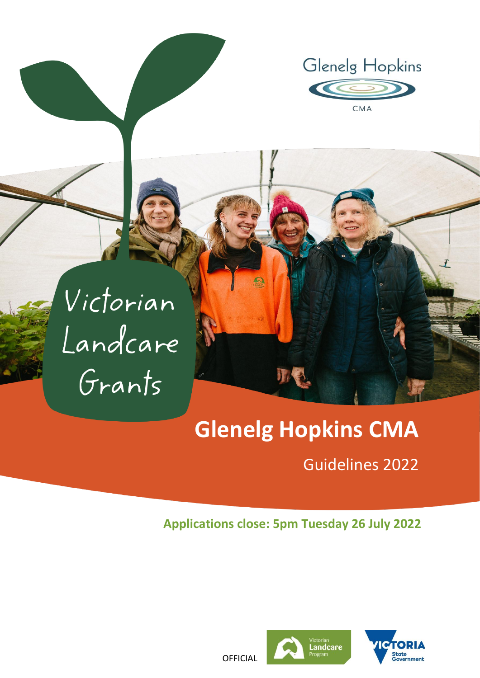



# **Glenelg Hopkins CMA**

# Guidelines 2022

### **Applications close: 5pm Tuesday 26 July 2022**





**OFFICIAL**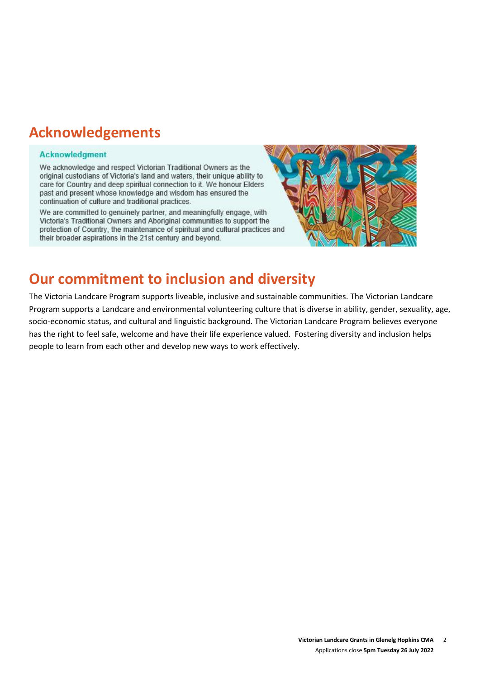# **Acknowledgements**

#### **Acknowledgment**

We acknowledge and respect Victorian Traditional Owners as the original custodians of Victoria's land and waters, their unique ability to care for Country and deep spiritual connection to it. We honour Elders past and present whose knowledge and wisdom has ensured the continuation of culture and traditional practices.

We are committed to genuinely partner, and meaningfully engage, with Victoria's Traditional Owners and Aboriginal communities to support the protection of Country, the maintenance of spiritual and cultural practices and their broader aspirations in the 21st century and beyond.



# **Our commitment to inclusion and diversity**

The Victoria Landcare Program supports liveable, inclusive and sustainable communities. The Victorian Landcare Program supports a Landcare and environmental volunteering culture that is diverse in ability, gender, sexuality, age, socio-economic status, and cultural and linguistic background. The Victorian Landcare Program believes everyone has the right to feel safe, welcome and have their life experience valued. Fostering diversity and inclusion helps people to learn from each other and develop new ways to work effectively.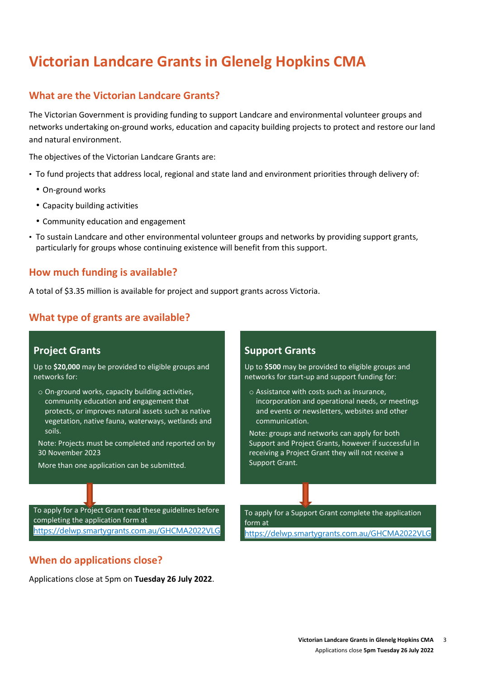# **Victorian Landcare Grants in Glenelg Hopkins CMA**

#### **What are the Victorian Landcare Grants?**

The Victorian Government is providing funding to support Landcare and environmental volunteer groups and networks undertaking on-ground works, education and capacity building projects to protect and restore our land and natural environment.

The objectives of the Victorian Landcare Grants are:

- To fund projects that address local, regional and state land and environment priorities through delivery of:
	- On-ground works
	- Capacity building activities
	- Community education and engagement
- To sustain Landcare and other environmental volunteer groups and networks by providing support grants, particularly for groups whose continuing existence will benefit from this support.

#### **How much funding is available?**

A total of \$3.35 million is available for project and support grants across Victoria.

#### **What type of grants are available?**

#### **Project Grants**

Up to **\$20,000** may be provided to eligible groups and networks for:

o On-ground works, capacity building activities, community education and engagement that protects, or improves natural assets such as native vegetation, native fauna, waterways, wetlands and soils.

Note: Projects must be completed and reported on by 30 November 2023

To apply for a Project Grant read these guidelines before

More than one application can be submitted.

#### **Support Grants**

Up to **\$500** may be provided to eligible groups and networks for start-up and support funding for:

o Assistance with costs such as insurance, incorporation and operational needs, or meetings and events or newsletters, websites and other communication.

Note: groups and networks can apply for both Support and Project Grants, however if successful in receiving a Project Grant they will not receive a Support Grant.

To apply for a Support Grant complete the application form at <https://delwp.smartygrants.com.au/GHCMA2022VLG>

<https://delwp.smartygrants.com.au/GHCMA2022VLG>

#### **When do applications close?**

completing the application form at

Applications close at 5pm on **Tuesday 26 July 2022**.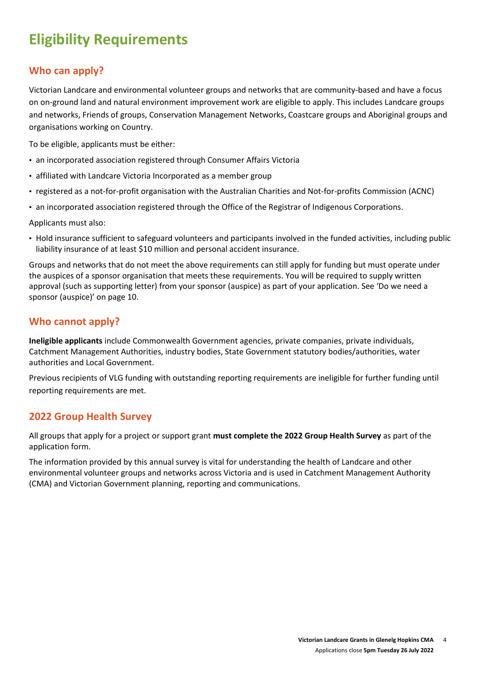# **Eligibility Requirements**

### **Who can apply?**

Victorian Landcare and environmental volunteer groups and networks that are community-based and have a focus on on-ground land and natural environment improvement work are eligible to apply. This includes Landcare groups and networks, Friends of groups, Conservation Management Networks, Coastcare groups and Aboriginal groups and organisations working on Country.

To be eligible, applicants must be either:

- an incorporated association registered through Consumer Affairs Victoria
- affiliated with Landcare Victoria Incorporated as a member group
- registered as a not-for-profit organisation with the Australian Charities and Not-for-profits Commission (ACNC)
- an incorporated association registered through the [Office of the Registrar of Indigenous Corporations.](https://www.oric.gov.au/start-corporation/registration-options)

Applicants must also:

• Hold insurance sufficient to safeguard volunteers and participants involved in the funded activities, including public liability insurance of at least \$10 million and personal accident insurance.

Groups and networks that do not meet the above requirements can still apply for funding but must operate under the auspices of a sponsor organisation that meets these requirements. You will be required to supply written approval (such as supporting letter) from your sponsor (auspice) as part of your application. See 'Do we need a sponsor (auspice)' on page 10.

#### **Who cannot apply?**

**Ineligible applicants** include Commonwealth Government agencies, private companies, private individuals, Catchment Management Authorities, industry bodies, State Government statutory bodies/authorities, water authorities and Local Government.

Previous recipients of VLG funding with outstanding reporting requirements are ineligible for further funding until reporting requirements are met.

#### **2022 Group Health Survey**

All groups that apply for a project or support grant **must complete the 2022 Group Health Survey** as part of the application form.

The information provided by this annual survey is vital for understanding the health of Landcare and other environmental volunteer groups and networks across Victoria and is used in Catchment Management Authority (CMA) and Victorian Government planning, reporting and communications.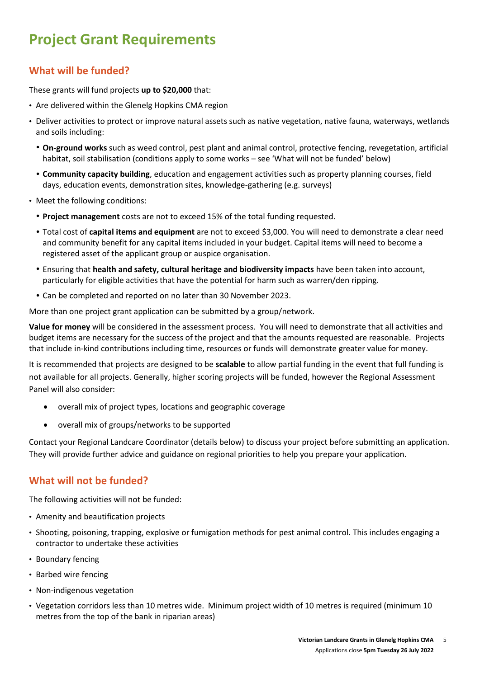# **Project Grant Requirements**

### **What will be funded?**

These grants will fund projects **up to \$20,000** that:

- Are delivered within the Glenelg Hopkins CMA region
- Deliver activities to protect or improve natural assets such as native vegetation, native fauna, waterways, wetlands and soils including:
	- **On-ground works** such as weed control, pest plant and animal control, protective fencing, revegetation, artificial habitat, soil stabilisation (conditions apply to some works – see 'What will not be funded' below)
	- **Community capacity building**, education and engagement activities such as property planning courses, field days, education events, demonstration sites, knowledge-gathering (e.g. surveys)
- Meet the following conditions:
	- **Project management** costs are not to exceed 15% of the total funding requested.
	- Total cost of **capital items and equipment** are not to exceed \$3,000. You will need to demonstrate a clear need and community benefit for any capital items included in your budget. Capital items will need to become a registered asset of the applicant group or auspice organisation.
	- Ensuring that **health and safety, cultural heritage and biodiversity impacts** have been taken into account, particularly for eligible activities that have the potential for harm such as warren/den ripping.
	- Can be completed and reported on no later than 30 November 2023.

More than one project grant application can be submitted by a group/network.

**Value for money** will be considered in the assessment process. You will need to demonstrate that all activities and budget items are necessary for the success of the project and that the amounts requested are reasonable. Projects that include in-kind contributions including time, resources or funds will demonstrate greater value for money.

It is recommended that projects are designed to be **scalable** to allow partial funding in the event that full funding is not available for all projects. Generally, higher scoring projects will be funded, however the Regional Assessment Panel will also consider:

- overall mix of project types, locations and geographic coverage
- overall mix of groups/networks to be supported

Contact your Regional Landcare Coordinator (details below) to discuss your project before submitting an application. They will provide further advice and guidance on regional priorities to help you prepare your application.

### **What will not be funded?**

The following activities will not be funded:

- Amenity and beautification projects
- Shooting, poisoning, trapping, explosive or fumigation methods for pest animal control. This includes engaging a contractor to undertake these activities
- Boundary fencing
- Barbed wire fencing
- Non-indigenous vegetation
- Vegetation corridors less than 10 metres wide. Minimum project width of 10 metres is required (minimum 10 metres from the top of the bank in riparian areas)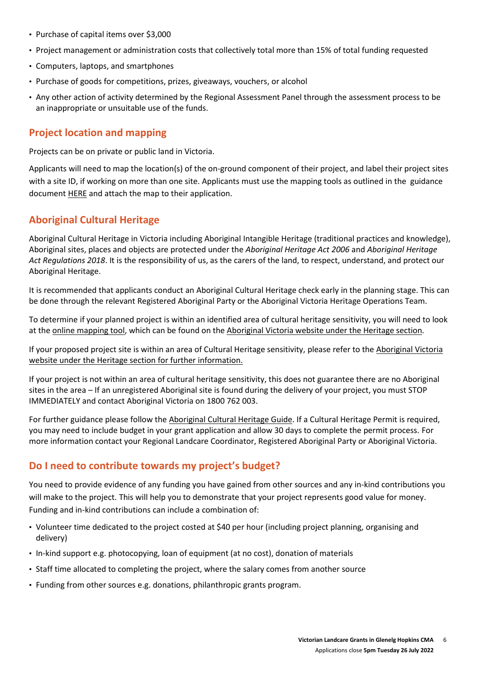- Purchase of capital items over \$3,000
- Project management or administration costs that collectively total more than 15% of total funding requested
- Computers, laptops, and smartphones
- Purchase of goods for competitions, prizes, giveaways, vouchers, or alcohol
- Any other action of activity determined by the Regional Assessment Panel through the assessment process to be an inappropriate or unsuitable use of the funds.

#### **Project location and mapping**

Projects can be on private or public land in Victoria.

Applicants will need to map the location(s) of the on-ground component of their project, and label their project sites with a site ID, if working on more than one site. Applicants must use the mapping tools as outlined in the guidance document [HERE](https://www.ghcma.vic.gov.au/get-involved/grants-tenders/) and attach the map to their application.

#### **Aboriginal Cultural Heritage**

Aboriginal Cultural Heritage in Victoria including Aboriginal Intangible Heritage (traditional practices and knowledge), Aboriginal sites, places and objects are protected under the *Aboriginal Heritage Act 2006* and *Aboriginal Heritage Act Regulations 2018*. It is the responsibility of us, as the carers of the land, to respect, understand, and protect our Aboriginal Heritage.

It is recommended that applicants conduct an Aboriginal Cultural Heritage check early in the planning stage. This can be done through the relevant Registered Aboriginal Party or the Aboriginal Victoria Heritage Operations Team.

To determine if your planned project is within an identified area of cultural heritage sensitivity, you will need to look at the [online mapping tool,](https://achris.vic.gov.au/#/onlinemap) which can be found on the [Aboriginal Victoria website](https://www.vic.gov.au/aboriginalvictoria.html) under th[e Heritage section.](https://www.aboriginalvictoria.vic.gov.au/aboriginal-culture-and-heritage)

If your proposed project site is within an area of Cultural Heritage sensitivity, please refer to th[e Aboriginal Victoria](https://www.vic.gov.au/aboriginalvictoria.html)  [website](https://www.vic.gov.au/aboriginalvictoria.html) under the [Heritage section](https://www.aboriginalvictoria.vic.gov.au/aboriginal-culture-and-heritage) for further information.

If your project is not within an area of cultural heritage sensitivity, this does not guarantee there are no Aboriginal sites in the area – If an unregistered Aboriginal site is found during the delivery of your project, you must STOP IMMEDIATELY and contact Aboriginal Victoria on 1800 762 003.

For further guidance please follow th[e Aboriginal Cultural Heritage Guide.](https://www.landcarevic.org.au/assets/Uploads/Aboriginal-Cultural-Heritage-Guide-FINAL-Jan2020-Online.pdf) If a Cultural Heritage Permit is required, you may need to include budget in your grant application and allow 30 days to complete the permit process. For more information contact your Regional Landcare Coordinator, Registered Aboriginal Party or Aboriginal Victoria.

### **Do I need to contribute towards my project's budget?**

You need to provide evidence of any funding you have gained from other sources and any in-kind contributions you will make to the project. This will help you to demonstrate that your project represents good value for money. Funding and in-kind contributions can include a combination of:

- Volunteer time dedicated to the project costed at \$40 per hour (including project planning, organising and delivery)
- In-kind support e.g. photocopying, loan of equipment (at no cost), donation of materials
- Staff time allocated to completing the project, where the salary comes from another source
- Funding from other sources e.g. donations, philanthropic grants program.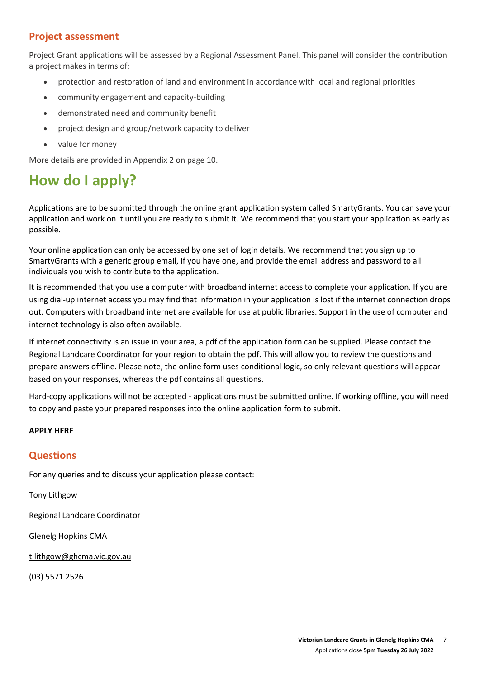#### **Project assessment**

Project Grant applications will be assessed by a Regional Assessment Panel. This panel will consider the contribution a project makes in terms of:

- protection and restoration of land and environment in accordance with local and regional priorities
- community engagement and capacity-building
- demonstrated need and community benefit
- project design and group/network capacity to deliver
- value for money

More details are provided in Appendix 2 on page 10.

# **How do I apply?**

Applications are to be submitted through the online grant application system called SmartyGrants. You can save your application and work on it until you are ready to submit it. We recommend that you start your application as early as possible.

Your online application can only be accessed by one set of login details. We recommend that you sign up to SmartyGrants with a generic group email, if you have one, and provide the email address and password to all individuals you wish to contribute to the application.

It is recommended that you use a computer with broadband internet access to complete your application. If you are using dial-up internet access you may find that information in your application is lost if the internet connection drops out. Computers with broadband internet are available for use at public libraries. Support in the use of computer and internet technology is also often available.

If internet connectivity is an issue in your area, a pdf of the application form can be supplied. Please contact the Regional Landcare Coordinator for your region to obtain the pdf. This will allow you to review the questions and prepare answers offline. Please note, the online form uses conditional logic, so only relevant questions will appear based on your responses, whereas the pdf contains all questions.

Hard-copy applications will not be accepted - applications must be submitted online. If working offline, you will need to copy and paste your prepared responses into the online application form to submit.

#### **[APPLY HERE](file://///UXENSVR/%7bFD34A37F%7d/EXT/PW/To%20apply%20for%20a%20Support%20Grant%20complete%20the%20application%20form%20at%20https:/delwp.smartygrants.com.au/GHCMA2022VLG)**

#### **Questions**

For any queries and to discuss your application please contact:

Tony Lithgow

Regional Landcare Coordinator

Glenelg Hopkins CMA

[t.lithgow@ghcma.vic.gov.au](mailto:t.lithgow@ghcma.vic.gov.au)

(03) 5571 2526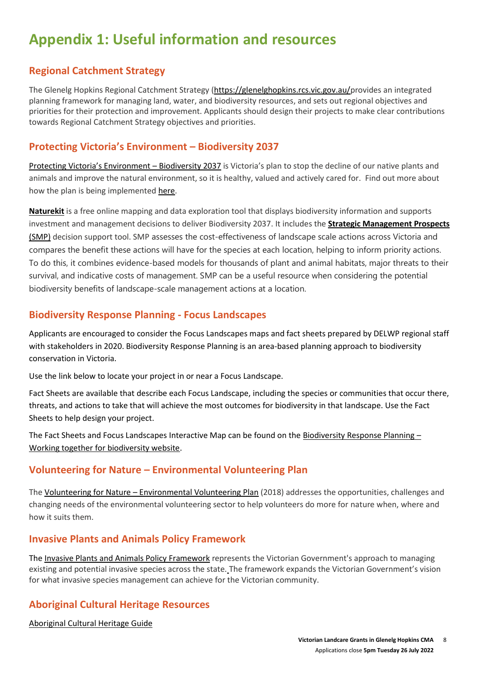# **Appendix 1: Useful information and resources**

### **Regional Catchment Strategy**

The Glenelg Hopkins Regional Catchment Strategy [\(https://glenelghopkins.rcs.vic.gov.au/p](https://glenelghopkins.rcs.vic.gov.au/)rovides an integrated planning framework for managing land, water, and biodiversity resources, and sets out regional objectives and priorities for their protection and improvement. Applicants should design their projects to make clear contributions towards Regional Catchment Strategy objectives and priorities.

#### **[Protecting Victoria's Envir](https://www.environment.vic.gov.au/biodiversity/biodiversity-plan)onment – Biodiversity 2037**

[Protecting Victoria's Environment –](http://www.environment.vic.gov.au/biodiversity/biodiversity-plan) Biodiversity 2037 is Victoria's plan to stop the decline of our native plants and animals and improve the natural environment, so it is healthy, valued and actively cared for. Find out more about how the plan is being implemented [here.](https://www.environment.vic.gov.au/biodiversity/Implementing-Biodiversity-2037)

**[Naturekit](https://www.environment.vic.gov.au/biodiversity/naturekit)** is a free online mapping and data exploration tool that displays biodiversity information and supports investment and management decisions to deliver Biodiversity 2037. It includes the **[Strategic Management Prospects](https://www.environment.vic.gov.au/biodiversity/natureprint)**  [\(SMP\)](https://www.environment.vic.gov.au/biodiversity/natureprint) decision support tool. SMP assesses the cost-effectiveness of landscape scale actions across Victoria and compares the benefit these actions will have for the species at each location, helping to inform priority actions. To do this, it combines evidence-based models for thousands of plant and animal habitats, major threats to their survival, and indicative costs of management. SMP can be a useful resource when considering the potential biodiversity benefits of landscape-scale management actions at a location.

### **Biodiversity Response Planning - Focus Landscapes**

Applicants are encouraged to consider the Focus Landscapes maps and fact sheets prepared by DELWP regional staff with stakeholders in 2020. Biodiversity Response Planning is an area-based planning approach to biodiversity conservation in Victoria.

Use the link below to locate your project in or near a Focus Landscape.

Fact Sheets are available that describe each Focus Landscape, including the species or communities that occur there, threats, and actions to take that will achieve the most outcomes for biodiversity in that landscape. Use the Fact Sheets to help design your project.

The Fact Sheets and Focus Landscapes Interactive Map can be found on th[e Biodiversity Response Planning](https://www.environment.vic.gov.au/biodiversity/working-together-for-biodiversity) – [Working together for biodiversity website.](https://www.environment.vic.gov.au/biodiversity/working-together-for-biodiversity)

### **Volunteering for Nature – Environmental Volunteering Plan**

The Volunteering for Nature – [Environmental Volunteering Plan](https://www.environment.vic.gov.au/environmental-volunteering/volunteering) (2018) addresses the opportunities, challenges and changing needs of the environmental volunteering sector to help volunteers do more for nature when, where and how it suits them.

#### **Invasive Plants and Animals Policy Framework**

The [Invasive Plants and Animals Policy Framework](https://agriculture.vic.gov.au/biosecurity/protecting-victoria/legislation-policy-and-permits/invasive-plants-and-animals-policy-framework) represents the Victorian Government's approach to managing existing and potential invasive species across the state. The framework expands the Victorian Government's vision for what invasive species management can achieve for the Victorian community.

### **Aboriginal Cultural Heritage Resources**

[Aboriginal Cultural Heritage Guide](http://www.landcarevic.org.au/assets/Uploads/Aboriginal-Cultural-Heritage-Guide-FINAL-Jan2020-Online.pdf)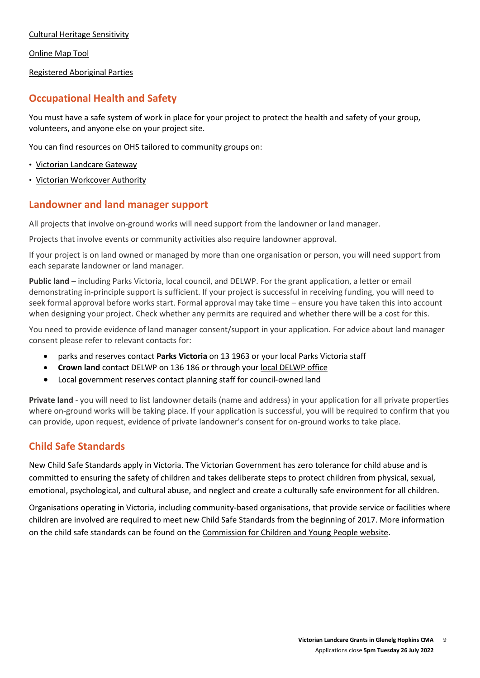[Cultural Heritage Sensitivity](http://www.aboriginalvictoria.vic.gov.au/cultural-heritage-sensitivity)

[Online Map Tool](https://achris.vic.gov.au/#/dashboard)

[Registered Aboriginal Parties](http://www.aboriginalheritagecouncil.vic.gov.au/victorias-current-registered-aboriginal-parties)

### **Occupational Health and Safety**

You must have a safe system of work in place for your project to protect the health and safety of your group, volunteers, and anyone else on your project site.

You can find resources on OHS tailored to community groups on:

- [Victorian Landcare Gateway](http://www.landcarevic.org.au/resources/health-and-safety/)
- [Victorian Workcover Authority](https://www.worksafe.vic.gov.au/)

#### **Landowner and land manager support**

All projects that involve on-ground works will need support from the landowner or land manager.

Projects that involve events or community activities also require landowner approval.

If your project is on land owned or managed by more than one organisation or person, you will need support from each separate landowner or land manager.

**Public land** – including Parks Victoria, local council, and DELWP. For the grant application, a letter or email demonstrating in-principle support is sufficient. If your project is successful in receiving funding, you will need to seek formal approval before works start. Formal approval may take time – ensure you have taken this into account when designing your project. Check whether any permits are required and whether there will be a cost for this.

You need to provide evidence of land manager consent/support in your application. For advice about land manager consent please refer to relevant contacts for:

- parks and reserves contact **Parks Victoria** on 13 1963 or your local Parks Victoria staff
- **Crown land** contact DELWP on 136 186 or through your [local DELWP](file:///C:/Users/ed0N/AppData/Local/Microsoft/Windows/INetCache/Content.Outlook/V2GQZPR2/www2.delwp.vic.gov.au/communities-and-regions/regions-and-locations) office
- Local government reserves contact [planning staff for council](http://www.knowyourcouncil.vic.gov.au/)-owned land

**Private land** - you will need to list landowner details (name and address) in your application for all private properties where on-ground works will be taking place. If your application is successful, you will be required to confirm that you can provide, upon request, evidence of private landowner's consent for on-ground works to take place.

#### **Child Safe Standards**

New Child Safe Standards apply in Victoria. The Victorian Government has zero tolerance for child abuse and is committed to ensuring the safety of children and takes deliberate steps to protect children from physical, sexual, emotional, psychological, and cultural abuse, and neglect and create a culturally safe environment for all children.

Organisations operating in Victoria, including community‐based organisations, that provide service or facilities where children are involved are required to meet new Child Safe Standards from the beginning of 2017. More information on the child safe standards can be found on the [Commission for Children and Young People website.](https://ccyp.vic.gov.au/child-safety/being-a-child-safe-organisation/the-child-safe-standards/)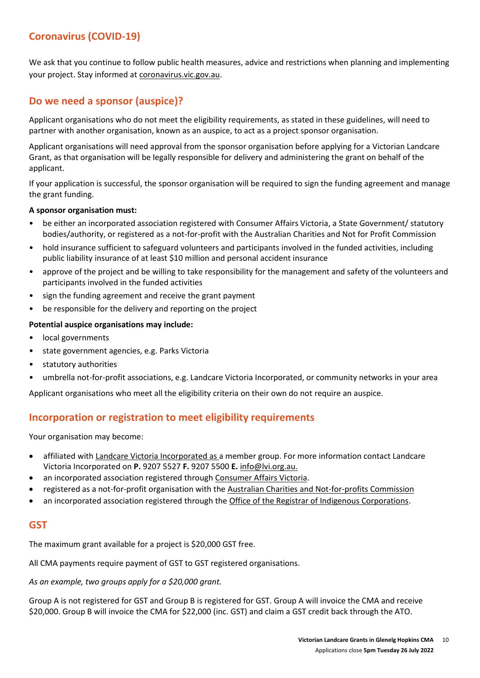### **Coronavirus (COVID-19)**

We ask that you continue to follow public health measures, advice and restrictions when planning and implementing your project. Stay informed at [coronavirus.vic.gov.au.](http://coronavirus.vic.gov.au/)

### **Do we need a sponsor (auspice)?**

Applicant organisations who do not meet the eligibility requirements, as stated in these guidelines, will need to partner with another organisation, known as an auspice, to act as a project sponsor organisation.

Applicant organisations will need approval from the sponsor organisation before applying for a Victorian Landcare Grant, as that organisation will be legally responsible for delivery and administering the grant on behalf of the applicant.

If your application is successful, the sponsor organisation will be required to sign the funding agreement and manage the grant funding.

#### **A sponsor organisation must:**

- be either an incorporated association registered with Consumer Affairs Victoria, a State Government/ statutory bodies/authority, or registered as a not-for-profit with the Australian Charities and Not for Profit Commission
- hold insurance sufficient to safeguard volunteers and participants involved in the funded activities, including public liability insurance of at least \$10 million and personal accident insurance
- approve of the project and be willing to take responsibility for the management and safety of the volunteers and participants involved in the funded activities
- sign the funding agreement and receive the grant payment
- be responsible for the delivery and reporting on the project

#### **Potential auspice organisations may include:**

- local governments
- state government agencies, e.g. Parks Victoria
- statutory authorities
- umbrella not-for-profit associations, e.g. Landcare Victoria Incorporated, or community networks in your area

Applicant organisations who meet all the eligibility criteria on their own do not require an auspice.

#### **Incorporation or registration to meet eligibility requirements**

Your organisation may become:

- affiliated wit[h Landcare Victoria Incorporated](http://www.lvi.org.au/) as a member group. For more information contact Landcare Victoria Incorporated on **P.** 9207 5527 **F.** 9207 5500 **E.** [info@lvi.org.au.](mailto:info@lvi.org.au)
- an incorporated association registered through [Consumer Affairs Victoria.](http://www.consumer.vic.gov.au/clubs-and-fundraising/incorporated-associations)
- registered as a not-for-profit organisation with the [Australian Charities and Not-for-profits Commission](https://www.acnc.gov.au/)
- an incorporated association registered through the [Office of the Registrar of Indigenous Corporations.](https://www.oric.gov.au/start-corporation/registration-options)

#### **GST**

The maximum grant available for a project is \$20,000 GST free.

All CMA payments require payment of GST to GST registered organisations.

*As an example, two groups apply for a \$20,000 grant.*

Group A is not registered for GST and Group B is registered for GST. Group A will invoice the CMA and receive \$20,000. Group B will invoice the CMA for \$22,000 (inc. GST) and claim a GST credit back through the ATO.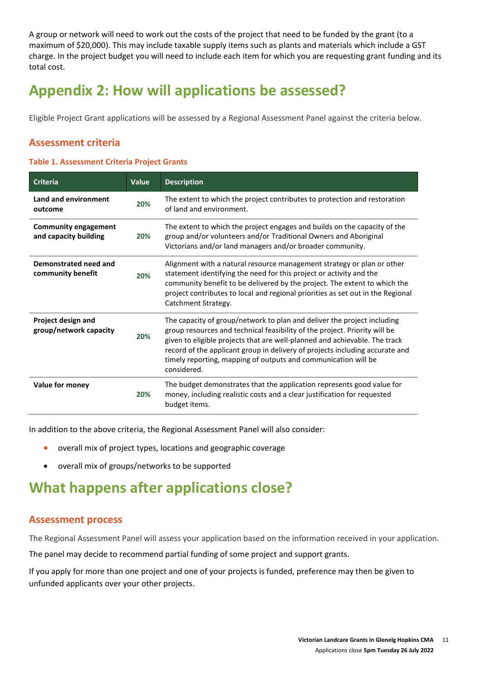A group or network will need to work out the costs of the project that need to be funded by the grant (to a maximum of \$20,000). This may include taxable supply items such as plants and materials which include a GST charge. In the project budget you will need to include each item for which you are requesting grant funding and its total cost.

# **Appendix 2: How will applications be assessed?**

Eligible Project Grant applications will be assessed by a Regional Assessment Panel against the criteria below.

#### **Assessment criteria**

#### **Table 1. Assessment Criteria Project Grants**

| <b>Criteria</b>                                      | Value | <b>Description</b>                                                                                                                                                                                                                                                                                                                                                                                   |
|------------------------------------------------------|-------|------------------------------------------------------------------------------------------------------------------------------------------------------------------------------------------------------------------------------------------------------------------------------------------------------------------------------------------------------------------------------------------------------|
| Land and environment<br>outcome                      | 20%   | The extent to which the project contributes to protection and restoration<br>of land and environment.                                                                                                                                                                                                                                                                                                |
| <b>Community engagement</b><br>and capacity building | 20%   | The extent to which the project engages and builds on the capacity of the<br>group and/or volunteers and/or Traditional Owners and Aboriginal<br>Victorians and/or land managers and/or broader community.                                                                                                                                                                                           |
| Demonstrated need and<br>community benefit           | 20%   | Alignment with a natural resource management strategy or plan or other<br>statement identifying the need for this project or activity and the<br>community benefit to be delivered by the project. The extent to which the<br>project contributes to local and regional priorities as set out in the Regional<br>Catchment Strategy.                                                                 |
| Project design and<br>group/network capacity         | 20%   | The capacity of group/network to plan and deliver the project including<br>group resources and technical feasibility of the project. Priority will be<br>given to eligible projects that are well-planned and achievable. The track<br>record of the applicant group in delivery of projects including accurate and<br>timely reporting, mapping of outputs and communication will be<br>considered. |
| Value for money                                      | 20%   | The budget demonstrates that the application represents good value for<br>money, including realistic costs and a clear justification for requested<br>budget items.                                                                                                                                                                                                                                  |

In addition to the above criteria, the Regional Assessment Panel will also consider:

- overall mix of project types, locations and geographic coverage
- overall mix of groups/networks to be supported

## **What happens after applications close?**

#### **Assessment process**

The Regional Assessment Panel will assess your application based on the information received in your application.

The panel may decide to recommend partial funding of some project and support grants.

If you apply for more than one project and one of your projects is funded, preference may then be given to unfunded applicants over your other projects.